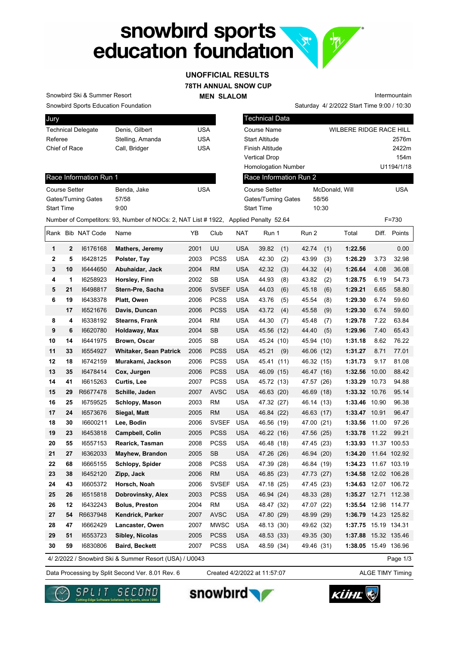# snowbird sports<br>education foundation **R.**

### **78TH ANNUAL SNOW CUP UNOFFICIAL RESULTS**

**MEN SLALOM** 

Saturday 4/ 2/2022 Start Time 9:00 / 10:30 Intermountain

Snowbird Sports Education Foundation Snowbird Ski & Summer Resort

| Jury                      |                  |     |
|---------------------------|------------------|-----|
| <b>Technical Delegate</b> | Denis, Gilbert   | USA |
| Referee                   | Stelling, Amanda | USA |
| Chief of Race             | Call, Bridger    | USA |
|                           |                  |     |

| Jury                      |                                                                                     |            | <b>Technical Data</b>      |                |                                |  |  |  |  |
|---------------------------|-------------------------------------------------------------------------------------|------------|----------------------------|----------------|--------------------------------|--|--|--|--|
| <b>Technical Delegate</b> | Denis, Gilbert                                                                      | <b>USA</b> | Course Name                |                | <b>WILBERE RIDGE RACE HILL</b> |  |  |  |  |
| Referee                   | Stelling, Amanda                                                                    | <b>USA</b> | <b>Start Altitude</b>      |                | 2576m                          |  |  |  |  |
| Chief of Race             | Call, Bridger                                                                       | <b>USA</b> | Finish Altitude            |                | 2422m                          |  |  |  |  |
|                           |                                                                                     |            | <b>Vertical Drop</b>       |                | 154 <sub>m</sub>               |  |  |  |  |
|                           |                                                                                     |            | <b>Homologation Number</b> |                | U1194/1/18                     |  |  |  |  |
| Race Information Run 1    |                                                                                     |            | Race Information Run 2     |                |                                |  |  |  |  |
| Course Setter             | Benda, Jake                                                                         | <b>USA</b> | Course Setter              | McDonald, Will | <b>USA</b>                     |  |  |  |  |
| Gates/Turning Gates       | 57/58                                                                               |            | Gates/Turning Gates        | 58/56          |                                |  |  |  |  |
| <b>Start Time</b>         | 9:00                                                                                |            | <b>Start Time</b>          | 10:30          |                                |  |  |  |  |
|                           | Number of Competitors: 93, Number of NOCs: 2, NAT List #1922, Applied Penalty 52.64 |            |                            |                | $F = 730$                      |  |  |  |  |

#### Race Information Run 1

| Benda, Jake | USA |
|-------------|-----|
| 57/58       |     |
| 9:00        |     |
|             |     |

|              |              | Rank Bib NAT Code | Name                          | YB   | Club         | <b>NAT</b> | Run 1        | Run 2      |      | Total                |       | Diff. Points |
|--------------|--------------|-------------------|-------------------------------|------|--------------|------------|--------------|------------|------|----------------------|-------|--------------|
| 1            | $\mathbf{2}$ | 16176168          | Mathers, Jeremy               | 2001 | UU           | <b>USA</b> | 39.82<br>(1) | 42.74      | (1)  | 1:22.56              |       | 0.00         |
| $\mathbf{2}$ | 5            | 16428125          | Polster, Tay                  | 2003 | <b>PCSS</b>  | <b>USA</b> | 42.30<br>(2) | 43.99      | (3)  | 1:26.29              | 3.73  | 32.98        |
| 3            | 10           | 16444650          | Abuhaidar, Jack               | 2004 | <b>RM</b>    | <b>USA</b> | 42.32<br>(3) | 44.32      | (4)  | 1:26.64              | 4.08  | 36.08        |
| 4            | 1            | 16258923          | Horsley, Finn                 | 2002 | SB           | <b>USA</b> | 44.93<br>(8) | 43.82      | (2)  | 1:28.75              | 6.19  | 54.73        |
| 5            | 21           | 16498817          | Stern-Pre, Sacha              | 2006 | <b>SVSEF</b> | <b>USA</b> | 44.03<br>(6) | 45.18      | (6)  | 1:29.21              | 6.65  | 58.80        |
| 6            | 19           | 16438378          | Platt, Owen                   | 2006 | <b>PCSS</b>  | <b>USA</b> | 43.76<br>(5) | 45.54      | (8)  | 1:29.30              | 6.74  | 59.60        |
|              | 17           | 16521676          | Davis, Duncan                 | 2006 | <b>PCSS</b>  | <b>USA</b> | 43.72<br>(4) | 45.58      | (9)  | 1:29.30              | 6.74  | 59.60        |
| 8            | 4            | 16338192          | <b>Stearns, Frank</b>         | 2004 | <b>RM</b>    | <b>USA</b> | 44.30<br>(7) | 45.48      | (7)  | 1:29.78              | 7.22  | 63.84        |
| 9            | 6            | 16620780          | Holdaway, Max                 | 2004 | <b>SB</b>    | <b>USA</b> | 45.56 (12)   | 44.40      | (5)  | 1:29.96              | 7.40  | 65.43        |
| 10           | 14           | 16441975          | <b>Brown, Oscar</b>           | 2005 | SB           | <b>USA</b> | 45.24 (10)   | 45.94      | (10) | 1:31.18              | 8.62  | 76.22        |
| 11           | 33           | 16554927          | <b>Whitaker, Sean Patrick</b> | 2006 | <b>PCSS</b>  | <b>USA</b> | 45.21<br>(9) | 46.06 (12) |      | 1:31.27              | 8.71  | 77.01        |
| 12           | 18           | 16742159          | Murakami, Jackson             | 2006 | <b>PCSS</b>  | <b>USA</b> | 45.41 (11)   | 46.32 (15) |      | 1:31.73              | 9.17  | 81.08        |
| 13           | 35           | 16478414          | Cox, Jurgen                   | 2006 | <b>PCSS</b>  | <b>USA</b> | 46.09 (15)   | 46.47 (16) |      | 1:32.56              | 10.00 | 88.42        |
| 14           | 41           | 16615263          | <b>Curtis, Lee</b>            | 2007 | <b>PCSS</b>  | <b>USA</b> | 45.72 (13)   | 47.57 (26) |      | 1:33.29              | 10.73 | 94.88        |
| 15           | 29           | R6677478          | Schille, Jaden                | 2007 | AVSC         | <b>USA</b> | 46.63 (20)   | 46.69 (18) |      | 1:33.32 10.76        |       | 95.14        |
| 16           | 25           | 16759525          | Schlopy, Mason                | 2003 | <b>RM</b>    | <b>USA</b> | 47.32 (27)   | 46.14 (13) |      | 1:33.46              | 10.90 | 96.38        |
| 17           | 24           | 16573676          | Siegal, Matt                  | 2005 | <b>RM</b>    | <b>USA</b> | 46.84 (22)   | 46.63 (17) |      | 1:33.47 10.91        |       | 96.47        |
| 18           | 30           | 16600211          | Lee, Bodin                    | 2006 | <b>SVSEF</b> | <b>USA</b> | 46.56 (19)   | 47.00      | (21) | 1:33.56              | 11.00 | 97.26        |
| 19           | 23           | 16453818          | <b>Campbell, Colin</b>        | 2005 | <b>PCSS</b>  | <b>USA</b> | 46.22 (16)   | 47.56 (25) |      | 1:33.78              | 11.22 | 99.21        |
| 20           | 55           | 16557153          | Rearick, Tasman               | 2008 | <b>PCSS</b>  | USA        | 46.48 (18)   | 47.45 (23) |      | 1:33.93              |       | 11.37 100.53 |
| 21           | 27           | 16362033          | <b>Mayhew, Brandon</b>        | 2005 | <b>SB</b>    | <b>USA</b> | 47.26 (26)   | 46.94 (20) |      | 1:34.20              |       | 11.64 102.92 |
| 22           | 68           | 16665155          | <b>Schlopy, Spider</b>        | 2008 | <b>PCSS</b>  | <b>USA</b> | 47.39 (28)   | 46.84 (19) |      | 1:34.23              |       | 11.67 103.19 |
| 23           | 38           | 16452120          | Zipp, Jack                    | 2006 | <b>RM</b>    | <b>USA</b> | 46.85 (23)   | 47.73 (27) |      | 1:34.58              |       | 12.02 106.28 |
| 24           | 43           | 16605372          | Horsch, Noah                  | 2006 | <b>SVSEF</b> | <b>USA</b> | 47.18 (25)   | 47.45 (23) |      | 1:34.63              |       | 12.07 106.72 |
| 25           | 26           | 16515818          | Dobrovinsky, Alex             | 2003 | <b>PCSS</b>  | <b>USA</b> | 46.94 (24)   | 48.33 (28) |      | 1:35.27              |       | 12.71 112.38 |
| 26           | 12           | 16432243          | <b>Bolus, Preston</b>         | 2004 | <b>RM</b>    | <b>USA</b> | 48.47 (32)   | 47.07 (22) |      | 1:35.54              | 12.98 | 114.77       |
| 27           | 54           | R6637948          | Kendrick, Parker              | 2007 | <b>AVSC</b>  | <b>USA</b> | 47.80 (29)   | 48.99 (29) |      | 1:36.79              |       | 14.23 125.82 |
| 28           | 47           | 16662429          | Lancaster, Owen               | 2007 | <b>MWSC</b>  | <b>USA</b> | 48.13 (30)   | 49.62 (32) |      | 1:37.75              |       | 15.19 134.31 |
| 29           | 51           | 16553723          | Sibley, Nicolas               | 2005 | <b>PCSS</b>  | <b>USA</b> | 48.53 (33)   | 49.35 (30) |      | 1:37.88              |       | 15.32 135.46 |
| 30           | 59           | 16830806          | Baird, Beckett                | 2007 | <b>PCSS</b>  | <b>USA</b> | 48.59 (34)   | 49.46 (31) |      | 1:38.05 15.49 136.96 |       |              |

4/ 2/2022 / Snowbird Ski & Summer Resort (USA) / U0043

Page 1/3

Data Processing by Split Second Ver. 8.01 Rev. 6 Created 4/2/2022 at 11:57:07 ALGE TIMY Timing

Created 4/2/2022 at 11:57:07







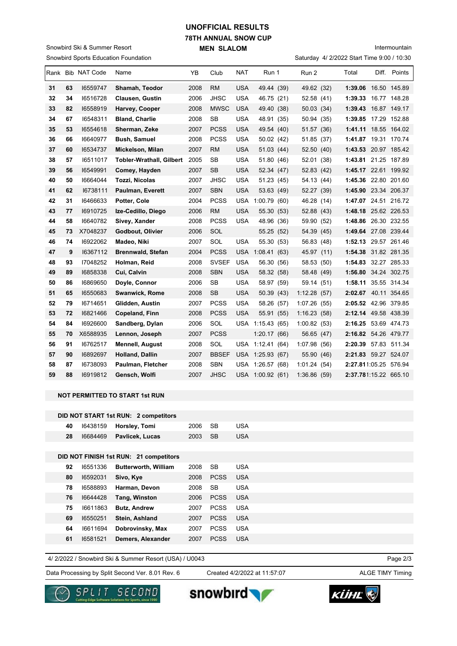## **78TH ANNUAL SNOW CUP MEN SLALOM UNOFFICIAL RESULTS**

Saturday 4/ 2/2022 Start Time 9:00 / 10:30

Intermountain

| Saturday 4/ 2/2022 Start Time 9:00 / 10:30<br><b>Snowbird Sports Education Foundation</b> |    |                   |                                 |      |              |            |                  |  |              |  |                       |       |              |
|-------------------------------------------------------------------------------------------|----|-------------------|---------------------------------|------|--------------|------------|------------------|--|--------------|--|-----------------------|-------|--------------|
|                                                                                           |    | Rank Bib NAT Code | Name                            | YB   | Club         | <b>NAT</b> | Run 1            |  | Run 2        |  | Total                 | Diff. | Points       |
| 31                                                                                        | 63 | 16559747          | Shamah, Teodor                  | 2008 | <b>RM</b>    | <b>USA</b> | 49.44 (39)       |  | 49.62 (32)   |  | 1:39.06 16.50 145.89  |       |              |
| 32                                                                                        | 34 | 16516728          | <b>Clausen, Gustin</b>          | 2006 | <b>JHSC</b>  | <b>USA</b> | 46.75 (21)       |  | 52.58 (41)   |  | 1:39.33 16.77 148.28  |       |              |
| 33                                                                                        | 82 | 16558919          | Harvey, Cooper                  | 2008 | <b>MWSC</b>  | <b>USA</b> | 49.40 (38)       |  | 50.03(34)    |  | 1:39.43               |       | 16.87 149.17 |
| 34                                                                                        | 67 | 16548311          | <b>Bland, Charlie</b>           | 2008 | <b>SB</b>    | <b>USA</b> | 48.91 (35)       |  | 50.94 (35)   |  | 1:39.85 17.29 152.88  |       |              |
| 35                                                                                        | 53 | 16554618          | Sherman, Zeke                   | 2007 | <b>PCSS</b>  | <b>USA</b> | 49.54 (40)       |  | 51.57 (36)   |  | 1:41.11 18.55 164.02  |       |              |
| 36                                                                                        | 66 | 16640977          | <b>Bush, Samuel</b>             | 2008 | <b>PCSS</b>  | <b>USA</b> | 50.02 (42)       |  | 51.85 (37)   |  | 1:41.87 19.31 170.74  |       |              |
| 37                                                                                        | 60 | 16534737          | Mickelson, Milan                | 2007 | <b>RM</b>    | <b>USA</b> | 51.03 (44)       |  | 52.50 (40)   |  | 1:43.53 20.97 185.42  |       |              |
| 38                                                                                        | 57 | 16511017          | <b>Tobler-Wrathall, Gilbert</b> | 2005 | SВ           | <b>USA</b> | 51.80 (46)       |  | 52.01 (38)   |  | 1:43.81 21.25 187.89  |       |              |
| 39                                                                                        | 56 | 16549991          | Comey, Hayden                   | 2007 | <b>SB</b>    | <b>USA</b> | 52.34 (47)       |  | 52.83 (42)   |  | 1:45.17 22.61 199.92  |       |              |
| 40                                                                                        | 50 | 16664044          | Tozzi, Nicolas                  | 2007 | <b>JHSC</b>  | <b>USA</b> | 51.23 (45)       |  | 54.13 (44)   |  | 1:45.36 22.80 201.60  |       |              |
| 41                                                                                        | 62 | 16738111          | Paulman, Everett                | 2007 | <b>SBN</b>   | <b>USA</b> | 53.63 (49)       |  | 52.27 (39)   |  | 1:45.90 23.34 206.37  |       |              |
| 42                                                                                        | 31 | 16466633          | Potter, Cole                    | 2004 | <b>PCSS</b>  | <b>USA</b> | 1:00.79(60)      |  | 46.28 (14)   |  | 1:47.07 24.51 216.72  |       |              |
| 43                                                                                        | 77 | 16910725          | Ize-Cedillo, Diego              | 2006 | <b>RM</b>    | <b>USA</b> | 55.30 (53)       |  | 52.88 (43)   |  | 1:48.18 25.62 226.53  |       |              |
| 44                                                                                        | 58 | 16640782          | Sivey, Xander                   | 2008 | <b>PCSS</b>  | USA        | 48.96 (36)       |  | 59.90 (52)   |  | 1:48.86 26.30 232.55  |       |              |
| 45                                                                                        | 73 | X7048237          | Godbout, Olivier                | 2006 | SOL          |            | 55.25 (52)       |  | 54.39 (45)   |  | 1:49.64 27.08 239.44  |       |              |
| 46                                                                                        | 74 | 16922062          | Madeo, Niki                     | 2007 | SOL          | <b>USA</b> | 55.30 (53)       |  | 56.83 (48)   |  | 1:52.13 29.57 261.46  |       |              |
| 47                                                                                        | 9  | 16367112          | <b>Brennwald, Stefan</b>        | 2004 | <b>PCSS</b>  |            | USA 1:08.41 (63) |  | 45.97 (11)   |  | 1:54.38 31.82 281.35  |       |              |
| 48                                                                                        | 93 | 17048252          | Holman, Reid                    | 2008 | <b>SVSEF</b> | <b>USA</b> | 56.30 (56)       |  | 58.53 (50)   |  | 1:54.83 32.27 285.33  |       |              |
| 49                                                                                        | 89 | 16858338          | Cui, Calvin                     | 2008 | <b>SBN</b>   | <b>USA</b> | 58.32 (58)       |  | 58.48 (49)   |  | 1:56.80 34.24 302.75  |       |              |
| 50                                                                                        | 86 | 16869650          | Doyle, Connor                   | 2006 | <b>SB</b>    | <b>USA</b> | 58.97 (59)       |  | 59.14 (51)   |  | 1:58.11 35.55 314.34  |       |              |
| 51                                                                                        | 65 | 16550683          | <b>Swanwick, Rome</b>           | 2008 | <b>SB</b>    | <b>USA</b> | 50.39 (43)       |  | 1:12.28(57)  |  | 2:02.67 40.11 354.65  |       |              |
| 52                                                                                        | 79 | 16714651          | Glidden, Austin                 | 2007 | <b>PCSS</b>  | <b>USA</b> | 58.26 (57)       |  | 1:07.26 (55) |  | 2:05.52 42.96 379.85  |       |              |
| 53                                                                                        | 72 | 16821466          | Copeland, Finn                  | 2008 | <b>PCSS</b>  | <b>USA</b> | 55.91 (55)       |  | 1:16.23(58)  |  | 2:12.14 49.58 438.39  |       |              |
| 54                                                                                        | 84 | 16926600          | Sandberg, Dylan                 | 2006 | SOL          |            | USA 1:15.43 (65) |  | 1:00.82(53)  |  | 2:16.25 53.69 474.73  |       |              |
| 55                                                                                        | 70 | X6588935          | Lennon, Joseph                  | 2007 | <b>PCSS</b>  |            | 1:20.17(66)      |  | 56.65 (47)   |  | 2:16.82 54.26 479.77  |       |              |
| 56                                                                                        | 91 | 16762517          | <b>Mennell, August</b>          | 2008 | SOL          | USA        | 1:12.41(64)      |  | 1:07.98 (56) |  | 2:20.39 57.83 511.34  |       |              |
| 57                                                                                        | 90 | 16892697          | Holland, Dallin                 | 2007 | <b>BBSEF</b> |            | USA 1:25.93 (67) |  | 55.90 (46)   |  | 2:21.83 59.27 524.07  |       |              |
| 58                                                                                        | 87 | 16738093          | Paulman, Fletcher               | 2008 | <b>SBN</b>   | USA        | 1:26.57(68)      |  | 1:01.24(54)  |  | 2:27.811:05.25 576.94 |       |              |
| 59                                                                                        | 88 | 16919812          | Gensch, Wolfi                   | 2007 | <b>JHSC</b>  |            | USA 1:00.92 (61) |  | 1:36.86(59)  |  | 2:37.781:15.22 665.10 |       |              |

#### **NOT PERMITTED TO START 1st RUN**

Snowbird Ski & Summer Resort

| DID NOT START 1st RUN: 2 competitors |          |                                        |      |             |            |  |  |  |  |  |  |
|--------------------------------------|----------|----------------------------------------|------|-------------|------------|--|--|--|--|--|--|
| 40                                   | 16438159 | Horsley, Tomi                          | 2006 | <b>SB</b>   | <b>USA</b> |  |  |  |  |  |  |
| 28                                   | 16684469 | Pavlicek, Lucas                        | 2003 | <b>SB</b>   | <b>USA</b> |  |  |  |  |  |  |
|                                      |          |                                        |      |             |            |  |  |  |  |  |  |
|                                      |          | DID NOT FINISH 1st RUN: 21 competitors |      |             |            |  |  |  |  |  |  |
| 92                                   | 16551336 | <b>Butterworth, William</b>            | 2008 | <b>SB</b>   | <b>USA</b> |  |  |  |  |  |  |
| 80                                   | 16592031 | Sivo, Kye                              | 2008 | <b>PCSS</b> | <b>USA</b> |  |  |  |  |  |  |
| 78                                   | 16588893 | Harman, Devon                          | 2008 | <b>SB</b>   | <b>USA</b> |  |  |  |  |  |  |
| 76                                   | 16644428 | Tang, Winston                          | 2006 | <b>PCSS</b> | <b>USA</b> |  |  |  |  |  |  |
| 75                                   | 16611863 | <b>Butz, Andrew</b>                    | 2007 | <b>PCSS</b> | <b>USA</b> |  |  |  |  |  |  |
| 69                                   | 16550251 | Stein, Ashland                         | 2007 | <b>PCSS</b> | <b>USA</b> |  |  |  |  |  |  |
| 64                                   | 16611694 | Dobrovinsky, Max                       | 2007 | <b>PCSS</b> | <b>USA</b> |  |  |  |  |  |  |
| 61                                   | 16581521 | Demers, Alexander                      | 2007 | <b>PCSS</b> | <b>USA</b> |  |  |  |  |  |  |

4/ 2/2022 / Snowbird Ski & Summer Resort (USA) / U0043

Data Processing by Split Second Ver. 8.01 Rev. 6 Created 4/2/2022 at 11:57:07 ALGE TIMY Timing

Created 4/2/2022 at 11:57:07

Page 2/3



snowbird